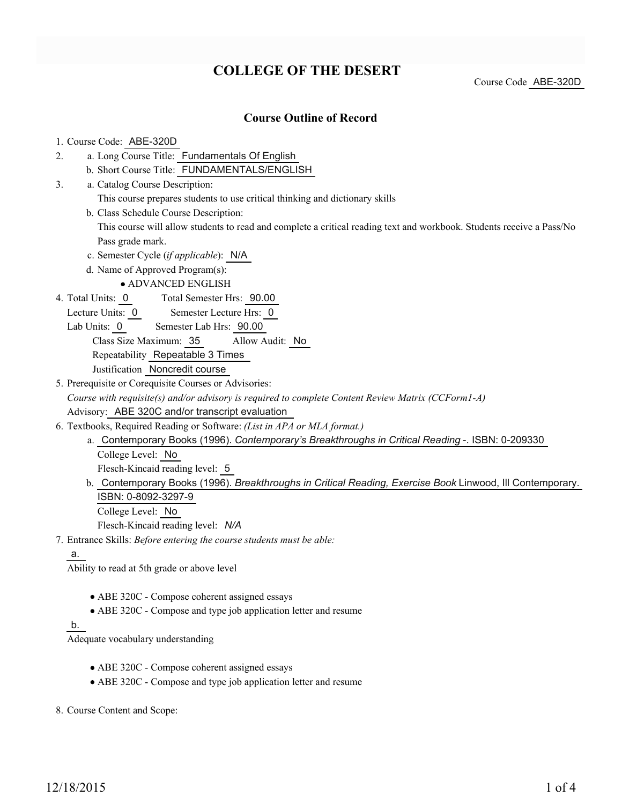# **COLLEGE OF THE DESERT**

Course Code ABE-320D

## **Course Outline of Record**

#### 1. Course Code: ABE-320D

- a. Long Course Title: Fundamentals Of English 2.
	- b. Short Course Title: FUNDAMENTALS/ENGLISH
- Catalog Course Description: a. 3.
	- This course prepares students to use critical thinking and dictionary skills
	- b. Class Schedule Course Description:

This course will allow students to read and complete a critical reading text and workbook. Students receive a Pass/No Pass grade mark.

- c. Semester Cycle (*if applicable*): N/A
- d. Name of Approved Program(s):

## ADVANCED ENGLISH

- Total Semester Hrs: 90.00 4. Total Units: 0
	- Lecture Units: 0 Semester Lecture Hrs: 0
	- Lab Units: 0 Semester Lab Hrs: 90.00

#### Class Size Maximum: 35 Allow Audit: No

Repeatability Repeatable 3 Times

- Justification Noncredit course
- 5. Prerequisite or Corequisite Courses or Advisories:

*Course with requisite(s) and/or advisory is required to complete Content Review Matrix (CCForm1-A)* Advisory: ABE 320C and/or transcript evaluation

- Textbooks, Required Reading or Software: *(List in APA or MLA format.)* 6.
	- Contemporary Books (1996). *Contemporary's Breakthroughs in Critical Reading* -. ISBN: 0-209330 a. College Level: No Flesch-Kincaid reading level: 5
	- b. Contemporary Books (1996). *Breakthroughs in Critical Reading, Exercise Book* Linwood, Ill Contemporary. ISBN: 0-8092-3297-9 College Level: No

Flesch-Kincaid reading level: *N/A*

Entrance Skills: *Before entering the course students must be able:* 7.

#### a.

Ability to read at 5th grade or above level

- ABE 320C Compose coherent assigned essays
- ABE 320C Compose and type job application letter and resume

## b.

Adequate vocabulary understanding

- ABE 320C Compose coherent assigned essays
- ABE 320C Compose and type job application letter and resume

8. Course Content and Scope: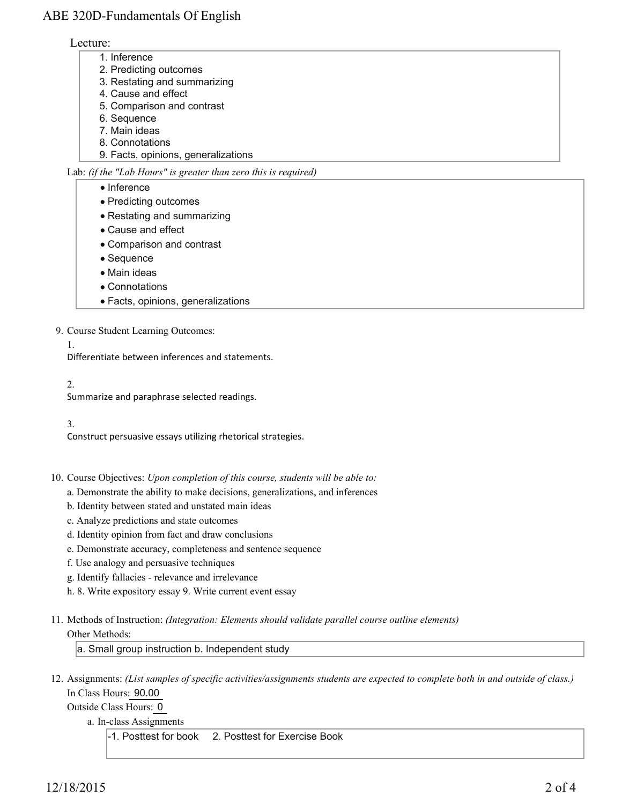# ABE 320D-Fundamentals Of English

## Lecture:

- 1. Inference
- 2. Predicting outcomes
- 3. Restating and summarizing
- 4. Cause and effect
- 5. Comparison and contrast
- 6. Sequence
- 7. Main ideas
- 8. Connotations
- 9. Facts, opinions, generalizations

Lab: *(if the "Lab Hours" is greater than zero this is required)*

- Inference
- Predicting outcomes
- Restating and summarizing
- Cause and effect
- Comparison and contrast
- Sequence
- Main ideas
- Connotations
- Facts, opinions, generalizations
- 9. Course Student Learning Outcomes:
	- 1.

Differentiate between inferences and statements.

 $2<sup>2</sup>$ 

Summarize and paraphrase selected readings.

## 3.

Construct persuasive essays utilizing rhetorical strategies.

10. Course Objectives: Upon completion of this course, students will be able to:

- a. Demonstrate the ability to make decisions, generalizations, and inferences
- b. Identity between stated and unstated main ideas
- c. Analyze predictions and state outcomes
- d. Identity opinion from fact and draw conclusions
- e. Demonstrate accuracy, completeness and sentence sequence
- f. Use analogy and persuasive techniques
- g. Identify fallacies relevance and irrelevance
- h. 8. Write expository essay 9. Write current event essay
- Methods of Instruction: *(Integration: Elements should validate parallel course outline elements)* 11. Other Methods:

a. Small group instruction b. Independent study

12. Assignments: (List samples of specific activities/assignments students are expected to complete both in and outside of class.) In Class Hours: 90.00

Outside Class Hours: 0

a. In-class Assignments

-1. Posttest for book 2. Posttest for Exercise Book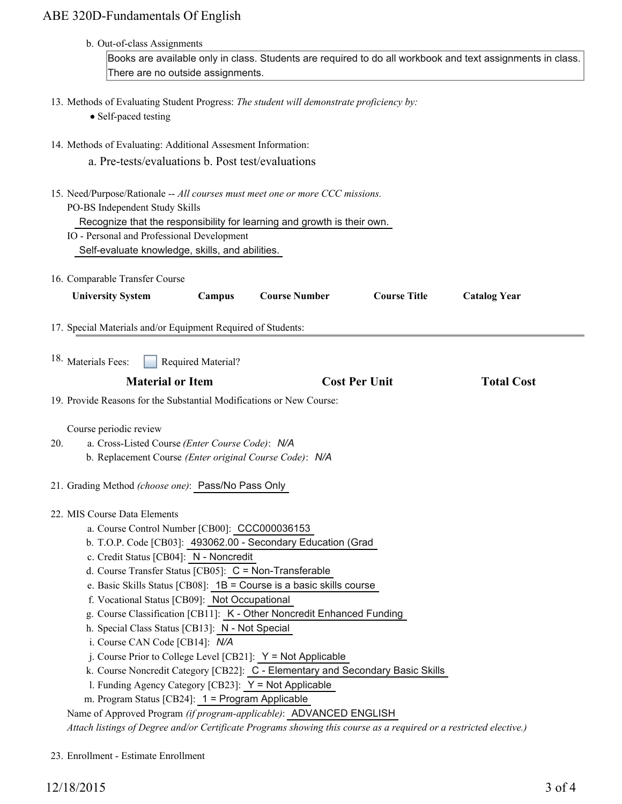# ABE 320D-Fundamentals Of English

| b. Out-of-class Assignments<br>Books are available only in class. Students are required to do all workbook and text assignments in class.<br>There are no outside assignments.                                                                                                                                                                                                                                                                                                                                                                                                                                                                                                                                                                                                                                                                                                   |                      |                     |                     |
|----------------------------------------------------------------------------------------------------------------------------------------------------------------------------------------------------------------------------------------------------------------------------------------------------------------------------------------------------------------------------------------------------------------------------------------------------------------------------------------------------------------------------------------------------------------------------------------------------------------------------------------------------------------------------------------------------------------------------------------------------------------------------------------------------------------------------------------------------------------------------------|----------------------|---------------------|---------------------|
| 13. Methods of Evaluating Student Progress: The student will demonstrate proficiency by:<br>• Self-paced testing                                                                                                                                                                                                                                                                                                                                                                                                                                                                                                                                                                                                                                                                                                                                                                 |                      |                     |                     |
| 14. Methods of Evaluating: Additional Assesment Information:<br>a. Pre-tests/evaluations b. Post test/evaluations                                                                                                                                                                                                                                                                                                                                                                                                                                                                                                                                                                                                                                                                                                                                                                |                      |                     |                     |
| 15. Need/Purpose/Rationale -- All courses must meet one or more CCC missions.<br>PO-BS Independent Study Skills<br>Recognize that the responsibility for learning and growth is their own.<br>IO - Personal and Professional Development<br>Self-evaluate knowledge, skills, and abilities.                                                                                                                                                                                                                                                                                                                                                                                                                                                                                                                                                                                      |                      |                     |                     |
| 16. Comparable Transfer Course<br><b>University System</b><br>Campus                                                                                                                                                                                                                                                                                                                                                                                                                                                                                                                                                                                                                                                                                                                                                                                                             | <b>Course Number</b> | <b>Course Title</b> | <b>Catalog Year</b> |
| 17. Special Materials and/or Equipment Required of Students:                                                                                                                                                                                                                                                                                                                                                                                                                                                                                                                                                                                                                                                                                                                                                                                                                     |                      |                     |                     |
| <sup>18.</sup> Materials Fees:<br>Required Material?                                                                                                                                                                                                                                                                                                                                                                                                                                                                                                                                                                                                                                                                                                                                                                                                                             |                      |                     |                     |
| <b>Material or Item</b>                                                                                                                                                                                                                                                                                                                                                                                                                                                                                                                                                                                                                                                                                                                                                                                                                                                          | <b>Cost Per Unit</b> |                     | <b>Total Cost</b>   |
| 19. Provide Reasons for the Substantial Modifications or New Course:                                                                                                                                                                                                                                                                                                                                                                                                                                                                                                                                                                                                                                                                                                                                                                                                             |                      |                     |                     |
| Course periodic review<br>a. Cross-Listed Course (Enter Course Code): N/A<br>20.<br>b. Replacement Course (Enter original Course Code): N/A<br>21. Grading Method (choose one): Pass/No Pass Only                                                                                                                                                                                                                                                                                                                                                                                                                                                                                                                                                                                                                                                                                |                      |                     |                     |
| 22. MIS Course Data Elements<br>a. Course Control Number [CB00]: CCC000036153<br>b. T.O.P. Code [CB03]: 493062.00 - Secondary Education (Grad<br>c. Credit Status [CB04]: N - Noncredit<br>d. Course Transfer Status $[CB05]$ : C = Non-Transferable<br>e. Basic Skills Status [CB08]: 1B = Course is a basic skills course<br>f. Vocational Status [CB09]: Not Occupational<br>g. Course Classification [CB11]: K - Other Noncredit Enhanced Funding<br>h. Special Class Status [CB13]: N - Not Special<br>i. Course CAN Code [CB14]: N/A<br>j. Course Prior to College Level [CB21]: $Y = Not$ Applicable<br>k. Course Noncredit Category [CB22]: C - Elementary and Secondary Basic Skills<br>1. Funding Agency Category [CB23]: Y = Not Applicable<br>m. Program Status [CB24]: 1 = Program Applicable<br>Name of Approved Program (if program-applicable): ADVANCED ENGLISH |                      |                     |                     |

23. Enrollment - Estimate Enrollment